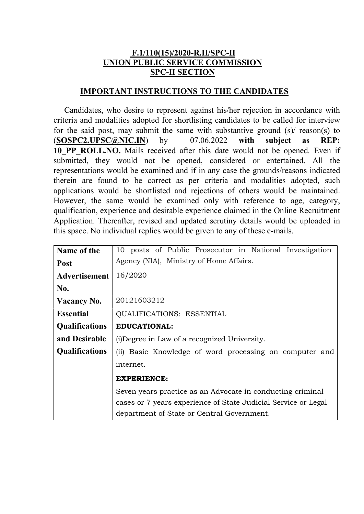## F.1/110(15)/2020-R.II/SPC-II UNION PUBLIC SERVICE COMMISSION SPC-II SECTION

## IMPORTANT INSTRUCTIONS TO THE CANDIDATES

Candidates, who desire to represent against his/her rejection in accordance with criteria and modalities adopted for shortlisting candidates to be called for interview for the said post, may submit the same with substantive ground  $(s)$  reason(s) to  $(SOSPC2.UPSC@NIC.IN)$  by  $07.06.2022$  with subject as REP: 10 PP ROLL.NO. Mails received after this date would not be opened. Even if submitted, they would not be opened, considered or entertained. All the representations would be examined and if in any case the grounds/reasons indicated therein are found to be correct as per criteria and modalities adopted, such applications would be shortlisted and rejections of others would be maintained. However, the same would be examined only with reference to age, category, qualification, experience and desirable experience claimed in the Online Recruitment Application. Thereafter, revised and updated scrutiny details would be uploaded in this space. No individual replies would be given to any of these e-mails.

| Name of the           | 10 posts of Public Prosecutor in National Investigation        |  |  |  |  |
|-----------------------|----------------------------------------------------------------|--|--|--|--|
| <b>Post</b>           | Agency (NIA), Ministry of Home Affairs.                        |  |  |  |  |
| <b>Advertisement</b>  | 16/2020                                                        |  |  |  |  |
| No.                   |                                                                |  |  |  |  |
| <b>Vacancy No.</b>    | 20121603212                                                    |  |  |  |  |
| <b>Essential</b>      | <b>QUALIFICATIONS: ESSENTIAL</b>                               |  |  |  |  |
| <b>Qualifications</b> | <b>EDUCATIONAL:</b>                                            |  |  |  |  |
| and Desirable         | (i) Degree in Law of a recognized University.                  |  |  |  |  |
| <b>Qualifications</b> | (ii) Basic Knowledge of word processing on computer and        |  |  |  |  |
|                       | internet.                                                      |  |  |  |  |
|                       | <b>EXPERIENCE:</b>                                             |  |  |  |  |
|                       | Seven years practice as an Advocate in conducting criminal     |  |  |  |  |
|                       | cases or 7 years experience of State Judicial Service or Legal |  |  |  |  |
|                       | department of State or Central Government.                     |  |  |  |  |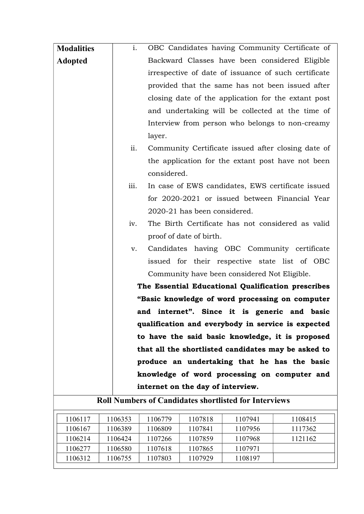| <b>Modalities</b> | i.<br>OBC Candidates having Community Certificate of             |
|-------------------|------------------------------------------------------------------|
| <b>Adopted</b>    | Backward Classes have been considered Eligible                   |
|                   | irrespective of date of issuance of such certificate             |
|                   | provided that the same has not been issued after                 |
|                   | closing date of the application for the extant post              |
|                   | and undertaking will be collected at the time of                 |
|                   | Interview from person who belongs to non-creamy                  |
|                   | layer.                                                           |
|                   | ii.<br>Community Certificate issued after closing date of        |
|                   | the application for the extant post have not been<br>considered. |
|                   | iii.<br>In case of EWS candidates, EWS certificate issued        |
|                   | for 2020-2021 or issued between Financial Year                   |
|                   | 2020-21 has been considered.                                     |
|                   | The Birth Certificate has not considered as valid<br>iv.         |
|                   | proof of date of birth.                                          |
|                   | Candidates having OBC Community certificate<br>v.                |
|                   | issued for their respective state list of OBC                    |
|                   | Community have been considered Not Eligible.                     |
|                   | The Essential Educational Qualification prescribes               |
|                   | "Basic knowledge of word processing on computer                  |
|                   | and internet". Since it is generic and basic                     |
|                   | qualification and everybody in service is expected               |
|                   | to have the said basic knowledge, it is proposed                 |
|                   | that all the shortlisted candidates may be asked to              |
|                   | produce an undertaking that he has the basic                     |
|                   | knowledge of word processing on computer and                     |
|                   | internet on the day of interview.                                |

| 1106117 | 1106353 | 1106779 | 1107818 | 1107941 | 1108415 |
|---------|---------|---------|---------|---------|---------|
| 1106167 | 1106389 | 1106809 | 1107841 | 1107956 | 1117362 |
| 1106214 | 1106424 | 1107266 | 1107859 | 1107968 | 1121162 |
| 1106277 | 1106580 | 1107618 | 1107865 | 1107971 |         |
| 1106312 | 1106755 | 1107803 | 1107929 | 1108197 |         |
|         |         |         |         |         |         |